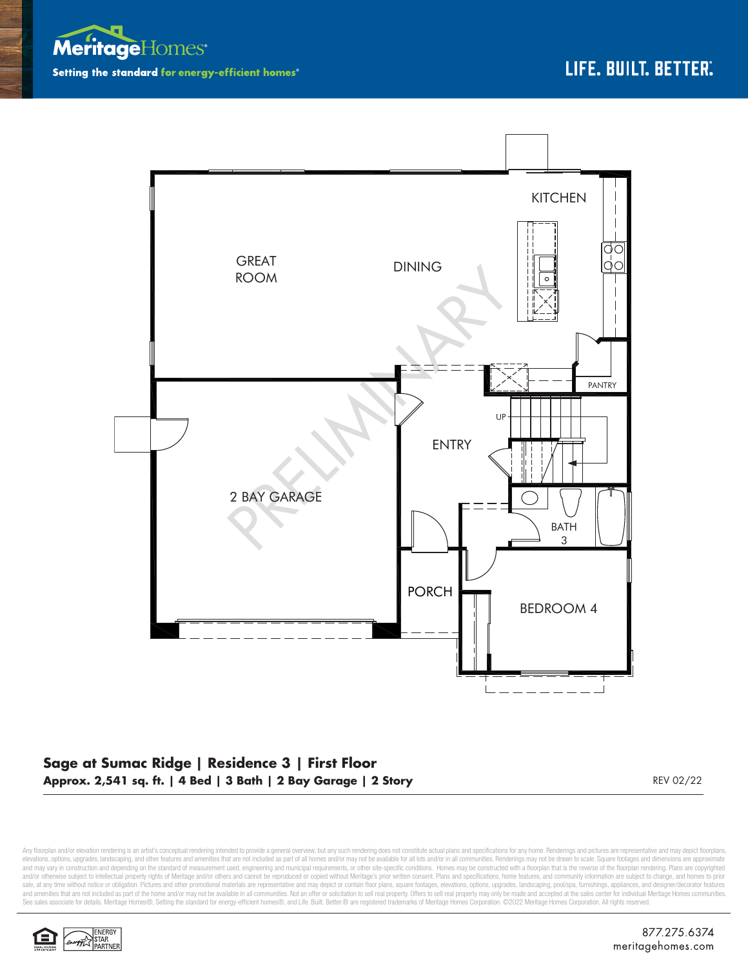



## **Sage at Sumac Ridge | Residence 3 | First Floor Approx. 2,541 sq. ft. | 4 Bed | 3 Bath | 2 Bay Garage | 2 Story** REV 02/22

Any floorplan and/or elevation rendering is an artist's conceptual rendering intended to provide a general overview, but any such rendering does not constitute actual plans and specifications for any home. Renderings and p elevations, options, upgrades, landscaping, and other features and amenities that are not included as part of all homes and/or may not be available for all lots and/or in all communities. Renderings may not be drawn to sca and may vary in construction and depending on the standard of measurement used, engineering and municipal requirements, or other site-specific conditions. Homes may be constructed with a floorplan that is the reverse of th sale, at any time without notice or obligation. Pictures and other promotional materials are representative and may depict or contain floor plans, square footages, elevations, options, upgrades, landscaping, pool/spa, furn See sales associate for details. Meritage Homes®, Setting the standard for energy-efficient homes®, and Life. Built. Better. @ are registered trademarks of Meritage Homes Corporation. ©2022 Meritage Homes Corporation. All